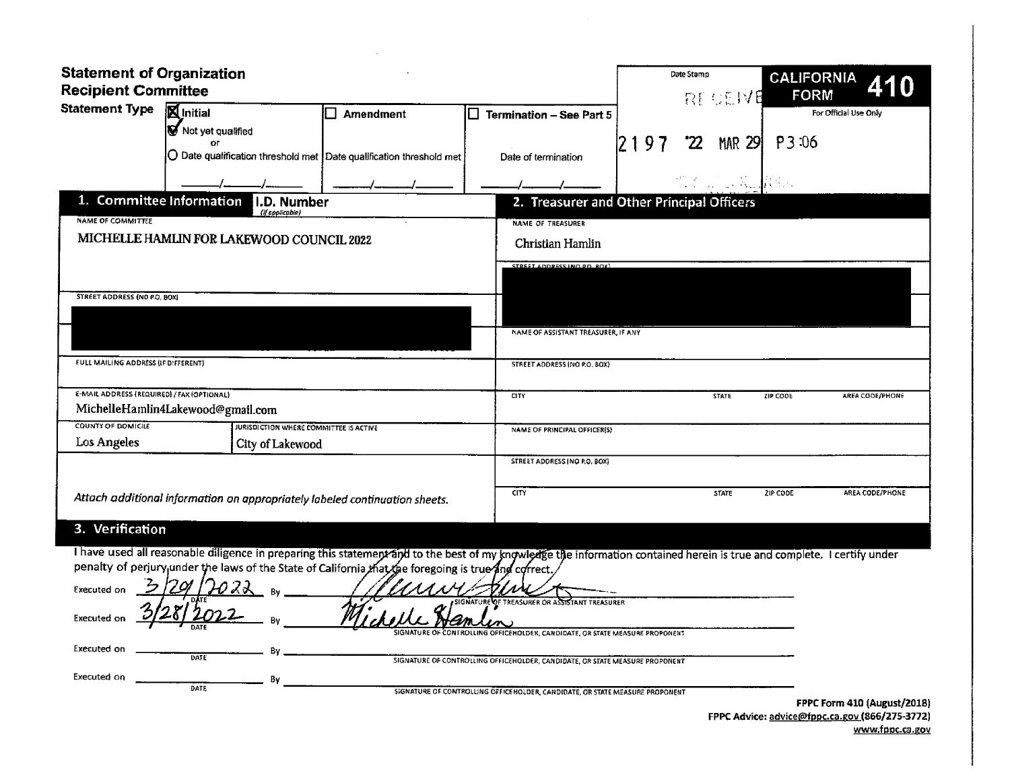| <b>Statement of Organization</b><br><b>Recipient Committee</b> |                                                                                                                                                                         |           |                                                                                                                                             | Date Stamp       | <b>BECEME</b> | <b>CALIFORNIA</b><br><b>FORM</b>                                              |  |  |
|----------------------------------------------------------------|-------------------------------------------------------------------------------------------------------------------------------------------------------------------------|-----------|---------------------------------------------------------------------------------------------------------------------------------------------|------------------|---------------|-------------------------------------------------------------------------------|--|--|
| <b>Statement Type</b>                                          | Minitial                                                                                                                                                                | Amendment | <b>Termination - See Part 5</b>                                                                                                             |                  |               | For Official Use Only                                                         |  |  |
|                                                                | V<br>Not yet qualified                                                                                                                                                  |           |                                                                                                                                             |                  |               |                                                                               |  |  |
|                                                                | or<br>$\bigcirc$ Date qualification threshold met $\big $ Date qualification threshold met                                                                              |           | Date of termination                                                                                                                         | 2197<br>'22      | <b>MAR 29</b> | P3:06                                                                         |  |  |
|                                                                |                                                                                                                                                                         |           |                                                                                                                                             |                  |               |                                                                               |  |  |
| 1. Committee Information                                       | I.D. Number<br>(if applicable)                                                                                                                                          |           | 2. Treasurer and Other Principal Officers                                                                                                   |                  |               |                                                                               |  |  |
| <b>NAME OF COMMITTEE</b>                                       |                                                                                                                                                                         |           | <b>NAME OF TREASURER</b>                                                                                                                    |                  |               |                                                                               |  |  |
|                                                                | MICHELLE HAMLIN FOR LAKEWOOD COUNCIL 2022                                                                                                                               |           |                                                                                                                                             | Christian Hamlin |               |                                                                               |  |  |
|                                                                |                                                                                                                                                                         |           | STREET ADDRESS INCLD D. ROY)                                                                                                                |                  |               |                                                                               |  |  |
| STREET ADDRESS (NO P.O. BOX)                                   |                                                                                                                                                                         |           |                                                                                                                                             |                  |               |                                                                               |  |  |
|                                                                |                                                                                                                                                                         |           | NAME OF ASSISTANT TREASURER, IF ANY                                                                                                         |                  |               |                                                                               |  |  |
| FULL MAILING ADDRESS (IF DIFFERENT)                            |                                                                                                                                                                         |           | STREET ADDRESS (NO P.O. BOX)                                                                                                                |                  |               |                                                                               |  |  |
| E-MAIL ADDRESS (REQUIRED) / FAX (OPTIONAL)                     |                                                                                                                                                                         |           | CITY                                                                                                                                        |                  | <b>STATE</b>  | ZIP CODE<br><b>AREA CODE/PHONE</b>                                            |  |  |
|                                                                | MichelleHamlin4Lakewood@gmail.com                                                                                                                                       |           |                                                                                                                                             |                  |               |                                                                               |  |  |
| <b>COUNTY OF DOMICILE</b>                                      | JURISDICTION WHERE COMMITTEE IS ACTIVE                                                                                                                                  |           | NAME OF PRINCIPAL OFFICER(S)                                                                                                                |                  |               |                                                                               |  |  |
| Los Angeles                                                    | City of Lakewood                                                                                                                                                        |           |                                                                                                                                             |                  |               |                                                                               |  |  |
|                                                                |                                                                                                                                                                         |           | STREET ADDRESS INC P.O. BOX)                                                                                                                |                  |               |                                                                               |  |  |
|                                                                | Attach additional information on appropriately labeled continuation sheets.                                                                                             |           | <b>CITY</b>                                                                                                                                 |                  | <b>STATE</b>  | ZIP CODE<br>AREA CODE/PHONE                                                   |  |  |
| 3. Verification                                                |                                                                                                                                                                         |           |                                                                                                                                             |                  |               |                                                                               |  |  |
|                                                                | I have used all reasonable diligence in preparing this statement and to the best of my knowledge the information contained herein is true and complete. I certify under |           |                                                                                                                                             |                  |               |                                                                               |  |  |
|                                                                | penalty of perjury under the laws of the State of California that the foregoing is true and correct.                                                                    |           |                                                                                                                                             |                  |               |                                                                               |  |  |
| <b>Executed on</b>                                             |                                                                                                                                                                         |           |                                                                                                                                             |                  |               |                                                                               |  |  |
| Executed on                                                    |                                                                                                                                                                         |           | OF TREASURER OR ASSISTANT TREASURER                                                                                                         |                  |               |                                                                               |  |  |
| <b>Executed on</b>                                             | в.<br>DATE                                                                                                                                                              |           | ROLLING OFFICEHOLDER, CANDIDATE, OR STATE MEASURE PROPONENT<br>SIGNATURE OF CONTROLLING OFFICEHOLDER, CANDIDATE, OR STATE MEASURE PROPONENT |                  |               |                                                                               |  |  |
| Executed on                                                    | By                                                                                                                                                                      |           |                                                                                                                                             |                  |               |                                                                               |  |  |
|                                                                | DATE                                                                                                                                                                    |           | SIGNATURE OF CONTROLLING OFFICE HOLDER, CANDIDATE, OR STATE MEASURE PROPONENT                                                               |                  |               |                                                                               |  |  |
|                                                                |                                                                                                                                                                         |           |                                                                                                                                             |                  |               | FPPC Form 410 (August/2018)<br>FPPC Advice: advice@fppc.ca.gov (866/275-3772) |  |  |

 $\sim 10^{-1}$ 

www.fppc.ca.gov